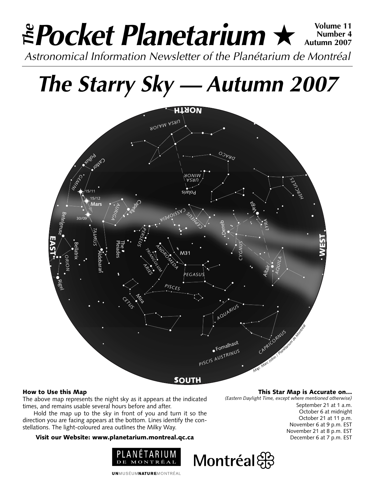# **Pocket Planetarium ★**  $\frac{\text{Volume } 11}{\text{Number } 4}$ **Number 4 Autumn 2007** Astronomical Information Newsletter of the Planétarium de Montréal **The**

# **The Starry Sky — Autumn 2007**



# How to Use this Map

The above map represents the night sky as it appears at the indicated times, and remains usable several hours before and after.

Hold the map up to the sky in front of you and turn it so the direction you are facing appears at the bottom. Lines identify the constellations. The light-coloured area outlines the Milky Way.

## Visit our Website: www.planetarium.montreal.qc.ca



**UNMUSÉUMNATUREMONTRÉAL** 

This Star Map is Accurate on…

*(Eastern Daylight Time, except where mentioned otherwise)*

September 21 at 1 a.m. October 6 at midnight October 21 at 11 p.m. November 6 at 9 p.m. EST November 21 at 8 p.m. EST December 6 at 7 p.m. EST